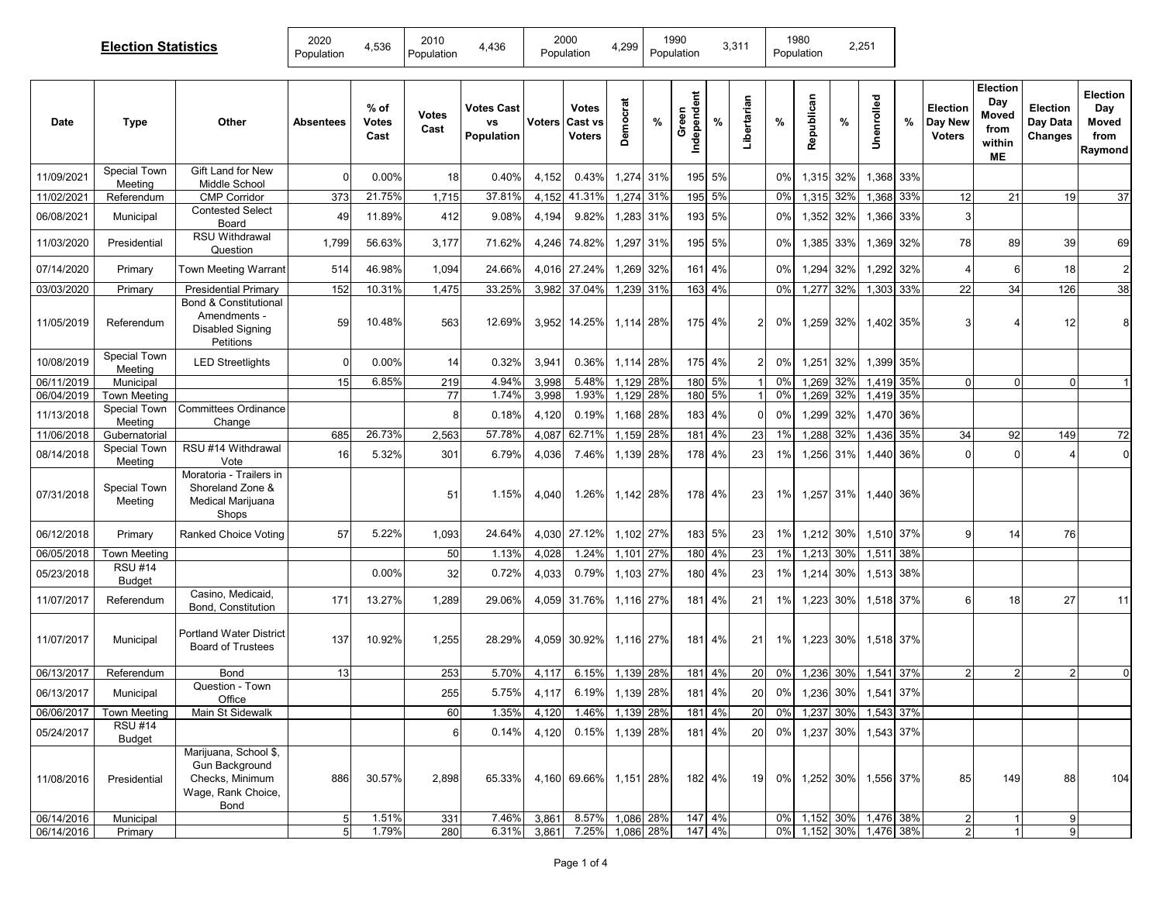| <b>Election Statistics</b> |                                      |                                                                                          | 2020<br>Population | 4,536                          | 2010<br>Population   | 4,436                                        | 2000<br>Population |                                          | 4,299           |     | 1990<br>Population   |        | 3,311          |       | 1980<br>Population |     | 2,251                  |           |                                             |                                                  |                                        |                                             |
|----------------------------|--------------------------------------|------------------------------------------------------------------------------------------|--------------------|--------------------------------|----------------------|----------------------------------------------|--------------------|------------------------------------------|-----------------|-----|----------------------|--------|----------------|-------|--------------------|-----|------------------------|-----------|---------------------------------------------|--------------------------------------------------|----------------------------------------|---------------------------------------------|
| Date                       | <b>Type</b>                          | Other                                                                                    | Absentees          | $%$ of<br><b>Votes</b><br>Cast | <b>Votes</b><br>Cast | <b>Votes Cast</b><br><b>VS</b><br>Population | <b>Voters</b>      | <b>Votes</b><br>Cast vs<br><b>Voters</b> | Democrat        | %   | Independent<br>Green | %      | Libertarian    | %     | Republican         | %   | Unenrolled             | %         | <b>Election</b><br>Day New<br><b>Voters</b> | Election<br>Day<br>Moved<br>from<br>within<br>MЕ | Election<br>Day Data<br><b>Changes</b> | Election<br>Day<br>Moved<br>from<br>Raymond |
| 11/09/2021                 | Special Town<br>Meeting              | Gift Land for New<br>Middle School                                                       | $\Omega$           | 0.00%                          | 18                   | 0.40%                                        | 4,152              | 0.43%                                    | 1,274 31%       |     |                      | 195 5% |                | 0%    | 1,315              | 32% |                        | 1,368 33% |                                             |                                                  |                                        |                                             |
| 11/02/2021                 | Referendum                           | <b>CMP Corridor</b>                                                                      | 373                | 21.75%                         | 1,715                | 37.81%                                       | 4,152              | 41.31%                                   | 1,274 31%       |     |                      | 195 5% |                | 0%    | 1,315              | 32% | 1,368 33%              |           | 12                                          | 21                                               | 19                                     | 37                                          |
| 06/08/2021                 | Municipal                            | <b>Contested Select</b><br>Board                                                         | 49                 | 11.89%                         | 412                  | 9.08%                                        | 4,194              | 9.82%                                    | 1,283 31%       |     |                      | 193 5% |                | 0%    | 1,352              | 32% | 1,366                  | 33%       | 3                                           |                                                  |                                        |                                             |
| 11/03/2020                 | Presidential                         | <b>RSU Withdrawal</b><br>Question                                                        | 1,799              | 56.63%                         | 3,177                | 71.62%                                       | 4,246              | 74.82%                                   | 1,297           | 31% |                      | 195 5% |                | 0%    | 1,385              | 33% | 1,369                  | 32%       | 78                                          | 89                                               | 39                                     | 69                                          |
| 07/14/2020                 | Primary                              | Town Meeting Warrant                                                                     | 514                | 46.98%                         | 1,094                | 24.66%                                       | 4.016              | 27.24%                                   | 1,269 32%       |     |                      | 161 4% |                | 0%    | 1,294              | 32% | 1,292                  | 32%       |                                             | 6                                                | 18                                     | $\overline{2}$                              |
| 03/03/2020                 | Primary                              | <b>Presidential Primary</b>                                                              | 152                | 10.31%                         | 1,475                | 33.25%                                       | 3,982              | 37.04%                                   | 1,239 31%       |     |                      | 163 4% |                | 0%    | 1,277              | 32% | 1,303 33%              |           | 22                                          | 34                                               | 126                                    | 38                                          |
| 11/05/2019                 | Referendum                           | <b>Bond &amp; Constitutional</b><br>Amendments -<br><b>Disabled Signing</b><br>Petitions | 59                 | 10.48%                         | 563                  | 12.69%                                       | 3,952              | 14.25%                                   | 1,114 28%       |     |                      | 175 4% | 2              | $0\%$ | 1,259              | 32% | 1,402 35%              |           | 3                                           |                                                  | 12                                     | 8                                           |
| 10/08/2019                 | Special Town<br>Meeting              | <b>LED Streetlights</b>                                                                  | $\overline{0}$     | 0.00%                          | 14                   | 0.32%                                        | 3,941              | 0.36%                                    | 1,114 28%       |     |                      | 175 4% | 2              | $0\%$ | 1,251              | 32% | 1,399 35%              |           |                                             |                                                  |                                        |                                             |
| 06/11/2019                 | Municipal                            |                                                                                          | 15                 | 6.85%                          | 219                  | 4.94%                                        | 3,998              | 5.48%                                    | 1,129 28%       |     |                      | 180 5% |                | $0\%$ | 1,269              | 32% | 1,419 35%              |           | $\Omega$                                    | $\Omega$                                         | $\Omega$                               |                                             |
| 06/04/2019                 | <b>Town Meeting</b>                  |                                                                                          |                    |                                | 77                   | 1.74%                                        | 3,998              | 1.93%                                    | 1,129 28%       |     |                      | 180 5% | $\overline{1}$ | 0%    | 1,269              | 32% | 1,419 35%              |           |                                             |                                                  |                                        |                                             |
| 11/13/2018                 | Special Town<br>Meeting              | <b>Committees Ordinance</b><br>Change                                                    |                    |                                |                      | 0.18%                                        | 4,120              | 0.19%                                    | 1,168 28%       |     |                      | 183 4% | $\Omega$       | 0%    | 1,299              | 32% | 1,470 36%              |           |                                             |                                                  |                                        |                                             |
| 11/06/2018                 | Gubernatorial<br><b>Special Town</b> | RSU #14 Withdrawal                                                                       | 685                | 26.73%                         | 2,563                | 57.78%                                       | 4,087              | 62.71%                                   | 1,159 28%       |     |                      | 181 4% | 23             | 1%    | 1,288              | 32% | 1,436 35%              |           | 34                                          | 92                                               | 149                                    | 72                                          |
| 08/14/2018                 | Meeting                              | Vote                                                                                     | 16                 | 5.32%                          | 301                  | 6.79%                                        | 4,036              | 7.46%                                    | 1,139 28%       |     | 178                  | 4%     | 23             | 1%    | 1,256              | 31% | 1,440                  | 36%       | $\sqrt{ }$                                  | 0                                                |                                        | $\mathbf 0$                                 |
| 07/31/2018                 | Special Town<br>Meeting              | Moratoria - Trailers in<br>Shoreland Zone &<br>Medical Marijuana<br>Shops                |                    |                                | 51                   | 1.15%                                        | 4,040              | 1.26%                                    | 1,142 28%       |     |                      | 178 4% | 23             | 1%    | 1,257              | 31% | 1,440 36%              |           |                                             |                                                  |                                        |                                             |
| 06/12/2018                 | Primary                              | Ranked Choice Voting                                                                     | 57                 | 5.22%                          | 1,093                | 24.64%                                       | 4,030              | 27.12%                                   | 1,102 27%       |     |                      | 183 5% | 23             | 1%    | 1,212              | 30% | 1,510                  | 37%       | ö                                           | 14                                               | 76                                     |                                             |
| 06/05/2018                 | <b>Town Meeting</b>                  |                                                                                          |                    |                                | 50                   | 1.13%                                        | 4,028              | 1.24%                                    | 1,101 27%       |     |                      | 180 4% | 23             | 1%    | 1,213              | 30% | 1,511 38%              |           |                                             |                                                  |                                        |                                             |
| 05/23/2018                 | <b>RSU #14</b><br><b>Budget</b>      |                                                                                          |                    | 0.00%                          | 32                   | 0.72%                                        | 4,033              | 0.79%                                    | 1,103 27%       |     |                      | 180 4% | 23             | 1%    | 1,214              | 30% | 1,513 38%              |           |                                             |                                                  |                                        |                                             |
| 11/07/2017                 | Referendum                           | Casino, Medicaid,<br>Bond, Constitution                                                  | 171                | 13.27%                         | 1,289                | 29.06%                                       | 4,059              | 31.76%                                   | 1,116 27%       |     | 181                  | 4%     | 21             | 1%    | 1,223              | 30% | 1,518 37%              |           | 6                                           | 18                                               | 27                                     | 11                                          |
| 11/07/2017                 | Municipal                            | <b>Portland Water District</b><br><b>Board of Trustees</b>                               | 137                | 10.92%                         | 1,255                | 28.29%                                       | 4,059              | 30.92%                                   | 1,116 27%       |     | 181                  | 4%     | 21             | 1%    | 1,223              | 30% | 1,518 37%              |           |                                             |                                                  |                                        |                                             |
| 06/13/2017                 | Referendum                           | Bond                                                                                     | 13                 |                                | 253                  | 5.70%                                        | 4,117              | 6.15%                                    | 1,139 28%       |     |                      | 181 4% | 20             | 0%    | 1,236              | 30% | 1,541                  | 37%       |                                             |                                                  |                                        | $\mathbf 0$                                 |
| 06/13/2017                 | Municipal                            | Question - Town<br>Office                                                                |                    |                                | 255                  | 5.75%                                        | 4,117              |                                          | 6.19% 1,139 28% |     |                      | 181 4% | 20             |       |                    |     | 0% 1,236 30% 1,541 37% |           |                                             |                                                  |                                        |                                             |
| 06/06/2017                 | <b>Town Meeting</b>                  | Main St Sidewalk                                                                         |                    |                                | 60                   | 1.35%                                        | 4,120              | 1.46%                                    | 1,139 28%       |     |                      | 181 4% | 20             | $0\%$ | 1,237 30%          |     | 1,543 37%              |           |                                             |                                                  |                                        |                                             |
| 05/24/2017                 | <b>RSU #14</b><br>Budget             |                                                                                          |                    |                                |                      | 0.14%                                        | 4,120              | 0.15%                                    | 1,139 28%       |     |                      | 181 4% | 20             | 0%    | 1,237 30%          |     | 1,543 37%              |           |                                             |                                                  |                                        |                                             |
| 11/08/2016                 | Presidential                         | Marijuana, School \$,<br>Gun Background<br>Checks, Minimum<br>Wage, Rank Choice,<br>Bond | 886                | 30.57%                         | 2,898                | 65.33%                                       |                    | 4,160 69.66% 1,151 28%                   |                 |     |                      | 182 4% | 19             |       |                    |     | 0% 1,252 30% 1,556 37% |           | 85                                          | 149                                              | 88                                     | 104                                         |
| 06/14/2016                 | Municipal                            |                                                                                          | 5                  | 1.51%                          | 331                  | 7.46%                                        | 3,861              | 8.57%                                    | 1,086 28%       |     |                      | 147 4% |                |       |                    |     | 0% 1,152 30% 1,476 38% |           | $\overline{2}$                              |                                                  | 9                                      |                                             |
| 06/14/2016                 | Primary                              |                                                                                          | 5                  | 1.79%                          | 280                  | 6.31%                                        | 3,861              | 7.25%                                    | 1,086 28%       |     |                      | 147 4% |                |       |                    |     | 0% 1,152 30% 1,476 38% |           | $\overline{2}$                              |                                                  |                                        |                                             |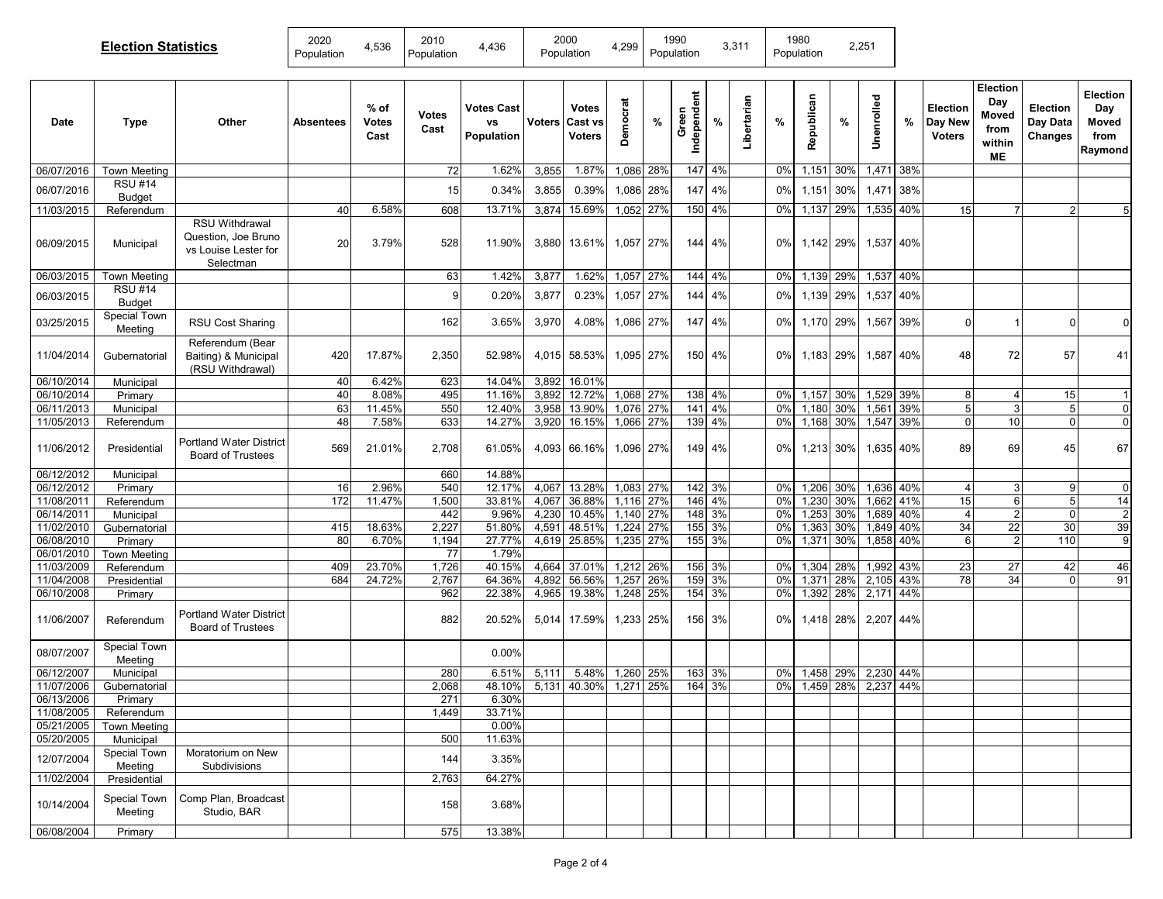| <b>Election Statistics</b> |                                   |                                                                                   | 2020<br>Population | 4,536                        | 2010<br>Population   | 4,436                                 |                | 2000<br>Population         | 4,299                  | 1990<br>Population |                  |                      | 3,311       |          | 1980<br>Population     |      | 2,251                  |     |                                      |                                                         |                                 |                                             |
|----------------------------|-----------------------------------|-----------------------------------------------------------------------------------|--------------------|------------------------------|----------------------|---------------------------------------|----------------|----------------------------|------------------------|--------------------|------------------|----------------------|-------------|----------|------------------------|------|------------------------|-----|--------------------------------------|---------------------------------------------------------|---------------------------------|---------------------------------------------|
| Date                       | <b>Type</b>                       | Other                                                                             | Absentees          | % of<br><b>Votes</b><br>Cast | <b>Votes</b><br>Cast | <b>Votes Cast</b><br>vs<br>Population | Voters         | Votes<br>Cast vs<br>Voters | Democrat               | %                  | Independent<br>ပ | %                    | Libertarian | %        | Republican             | $\%$ | Unenrolled             | %   | Election<br>Day New<br><b>Voters</b> | <b>Election</b><br>Day<br>Moved<br>from<br>within<br>МE | Election<br>Day Data<br>Changes | Election<br>Day<br>Moved<br>from<br>Raymond |
| 06/07/2016                 | Town Meeting                      |                                                                                   |                    |                              | 72                   | 1.62%                                 | 3,855          | 1.87%                      | 1,086 28%              |                    |                  | 147 4%               |             | 0%       | 1,151 30%              |      | 1,471 38%              |     |                                      |                                                         |                                 |                                             |
| 06/07/2016                 | <b>RSU #14</b><br><b>Budget</b>   |                                                                                   |                    |                              | 15                   | 0.34%                                 | 3,855          | 0.39%                      | 1,086 28%              |                    |                  | 147 4%               |             | $0\%$    | 1,151 30%              |      | 1,471                  | 38% |                                      |                                                         |                                 |                                             |
| 11/03/2015                 | Referendum                        |                                                                                   | 40                 | 6.58%                        | 608                  | 13.71%                                | 3,874          | 15.69%                     | 1,052 27%              |                    |                  | 150 4%               |             | $0\%$    | 1,137                  | 29%  | 1,535 40%              |     | 15                                   | $\overline{7}$                                          | $\overline{2}$                  | 5                                           |
| 06/09/2015                 | Municipal                         | <b>RSU Withdrawal</b><br>Question, Joe Bruno<br>vs Louise Lester for<br>Selectman | 20                 | 3.79%                        | 528                  | 11.90%                                | 3,880          | 13.61%                     | 1,057 27%              |                    |                  | 144 4%               |             | $0\%$    | 1,142 29%              |      | 1,537 40%              |     |                                      |                                                         |                                 |                                             |
| 06/03/2015                 | Town Meeting                      |                                                                                   |                    |                              | 63                   | 1.42%                                 | 3,877          | 1.62%                      | 1,057 27%              |                    |                  | $144 \overline{4\%}$ |             | 0%       | 1,139 29%              |      | 1,537 40%              |     |                                      |                                                         |                                 |                                             |
| 06/03/2015                 | <b>RSU #14</b><br><b>Budget</b>   |                                                                                   |                    |                              | 9                    | 0.20%                                 | 3,877          | 0.23%                      | 1,057 27%              |                    | 144              | 4%                   |             | $0\%$    | 1,139                  | 29%  | 1,537                  | 40% |                                      |                                                         |                                 |                                             |
| 03/25/2015                 | Special Town<br>Meeting           | <b>RSU Cost Sharing</b>                                                           |                    |                              | 162                  | 3.65%                                 | 3,970          | 4.08%                      | 1,086 27%              |                    |                  | 147 4%               |             | $0\%$    | 1,170 29%              |      | 1,567                  | 39% | $\Omega$                             |                                                         | O                               | $\mathbf{0}$                                |
| 11/04/2014                 | Gubernatorial                     | Referendum (Bear<br>Baiting) & Municipal<br>(RSU Withdrawal)                      | 420                | 17.87%                       | 2,350                | 52.98%                                | 4,015          | 58.53%                     | 1,095 27%              |                    |                  | 150 4%               |             | $0\%$    | 1,183 29%              |      | 1.587 40%              |     | 48                                   | 72                                                      | 57                              | 41                                          |
| 06/10/2014                 | Municipal                         |                                                                                   | 40                 | 6.42%                        | 623                  | 14.04%                                | 3,892          | 16.01%                     |                        |                    |                  |                      |             |          |                        |      |                        |     |                                      |                                                         |                                 |                                             |
| 06/10/2014                 | Primary                           |                                                                                   | 40                 | 8.08%                        | 495                  | 11.16%                                | 3,892          | 12.72%                     | 1,068 27%              |                    |                  | 138 4%               |             | $0\%$    | 1,157                  | 30%  | 1,529 39%              |     | 8                                    | $\overline{4}$                                          | 15                              | $\overline{1}$                              |
| 06/11/2013                 | Municipal                         |                                                                                   | 63                 | 11.45%                       | 550                  | 12.40%                                | 3,958          | 13.90%                     | 1,076 27%              |                    |                  | 141 4%               |             | 0%       | 1,180                  | 30%  | 1,561                  | 39% | 5                                    | 3 <sup>1</sup>                                          | 5                               | $\overline{0}$                              |
| 11/05/2013<br>11/06/2012   | Referendum<br>Presidential        | <b>Portland Water District</b><br><b>Board of Trustees</b>                        | 48<br>569          | 7.58%<br>21.01%              | 633<br>2,708         | 14.27%<br>61.05%                      | 3,920<br>4,093 | 16.15%<br>66.16%           | 1,066 27%<br>1,096 27% |                    |                  | 139 4%<br>149 4%     |             | 0%<br>0% | 1,168 30%<br>1,213 30% |      | 1,547 39%<br>1,635 40% |     | $\Omega$<br>89                       | 10<br>69                                                | $\Omega$<br>45                  | $\overline{0}$<br>67                        |
| 06/12/2012                 | Municipal                         |                                                                                   |                    |                              | 660                  | 14.88%                                |                |                            |                        |                    |                  |                      |             |          |                        |      |                        |     |                                      |                                                         |                                 |                                             |
| 06/12/2012                 | Primary                           |                                                                                   | 16                 | 2.96%                        | 540                  | 12.17%                                | 4,067          | 13.28%                     | 1,083 27%              |                    |                  | 142 3%               |             | 0%       | 1,206 30%              |      | 1,636 40%              |     |                                      | 3                                                       | 9                               | $\Omega$                                    |
| 11/08/2011                 | Referendum                        |                                                                                   | 172                | 11.47%                       | 1,500                | 33.81%                                | 4,067          | 36.88%                     | 1,116 27%              |                    |                  | 146 4%               |             | 0%       | 1,230                  | 30%  | 1,662 41%              |     | 15                                   | 6                                                       | 5                               | 14                                          |
| 06/14/2011                 | Municipal                         |                                                                                   |                    |                              | 442                  | 9.96%                                 | 4,230          | 10.45%                     | 1,140 27%              |                    |                  | 148 3%               |             | 0%       | 1,253                  | 30%  | 1,689 40%              |     | $\overline{4}$                       | $\overline{2}$                                          | $\mathbf 0$                     | $\overline{2}$                              |
| 11/02/2010                 | Gubernatorial                     |                                                                                   | 415                | 18.63%                       | 2,227                | 51.80%                                | 4,591          | 48.51%                     | 1,224 27%              |                    |                  | 155 3%               |             | 0%       | 1,363                  | 30%  | 1,849 40%              |     | 34                                   | 22                                                      | 30                              | 39                                          |
| 06/08/2010                 | Primary                           |                                                                                   | 80                 | 6.70%                        | 1,194                | 27.77%                                |                | 4,619 25.85%               | 1,235 27%              |                    |                  | 155 3%               |             | 0%       | 1,371                  | 30%  | 1,858 40%              |     | 6                                    | $\overline{2}$                                          | 110                             | 9                                           |
| 06/01/2010                 | <b>Town Meeting</b>               |                                                                                   |                    |                              | 77                   | 1.79%                                 |                |                            |                        |                    |                  |                      |             |          |                        |      |                        |     |                                      |                                                         |                                 |                                             |
| 11/03/2009                 | Referendum                        |                                                                                   | 409                | 23.70%                       | 1,726                | 40.15%                                | 4,664          | 37.01%                     | 1,212 26%              |                    |                  | 156 3%               |             | 0%       | 1,304 28%              |      | 1,992 43%              |     | 23                                   | 27                                                      | 42                              | 46                                          |
| 11/04/2008                 | Presidential                      |                                                                                   | 684                | 24.72%                       | 2,767                | 64.36%                                | 4,892          | 56.56%                     | 1,257                  | 26%                |                  | 159 3%               |             | 0%       | 1,371                  | 28%  | 2,105 43%              |     | 78                                   | 34                                                      | $\Omega$                        | 91                                          |
| 06/10/2008                 | Primary                           |                                                                                   |                    |                              | 962                  | 22.38%                                | 4,965          | 19.38%                     | 1,248 25%              |                    |                  | 154 3%               |             | 0%       | 1,392                  | 28%  | 2,171 44%              |     |                                      |                                                         |                                 |                                             |
| 11/06/2007                 | Referendum                        | Portland Water District<br><b>Board of Trustees</b>                               |                    |                              | 882                  | 20.52%                                | 5,014          | 17.59%                     | 1,233 25%              |                    |                  | 156 3%               |             | $0\%$    | 1,418 28%              |      | 2,207 44%              |     |                                      |                                                         |                                 |                                             |
| 08/07/2007                 | <b>Special Town</b><br>Meeting    |                                                                                   |                    |                              |                      | 0.00%                                 |                |                            |                        |                    |                  |                      |             |          |                        |      |                        |     |                                      |                                                         |                                 |                                             |
| 06/12/2007                 | Municipal                         |                                                                                   |                    |                              | 280                  | 6.51%                                 | 5,111          | 5.48%                      | 1,260 25%              |                    |                  | 163 3%               |             |          | 0% 1,458 29% 2,230 44% |      |                        |     |                                      |                                                         |                                 |                                             |
| 11/07/2006                 | Gubernatorial                     |                                                                                   |                    |                              | 2,068                | 48.10%                                |                | 5,131 40.30%               | 1,271 25%              |                    | 164              | 3%                   |             |          | 0% 1,459 28% 2,237 44% |      |                        |     |                                      |                                                         |                                 |                                             |
| 06/13/2006                 | Primary                           |                                                                                   |                    |                              | 271                  | 6.30%                                 |                |                            |                        |                    |                  |                      |             |          |                        |      |                        |     |                                      |                                                         |                                 |                                             |
| 11/08/2005<br>05/21/2005   | Referendum<br><b>Town Meeting</b> |                                                                                   |                    |                              | 1,449                | 33.71%<br>0.00%                       |                |                            |                        |                    |                  |                      |             |          |                        |      |                        |     |                                      |                                                         |                                 |                                             |
| 05/20/2005                 | Municipal                         |                                                                                   |                    |                              | 500                  | 11.63%                                |                |                            |                        |                    |                  |                      |             |          |                        |      |                        |     |                                      |                                                         |                                 |                                             |
| 12/07/2004                 | Special Town<br>Meeting           | Moratorium on New<br>Subdivisions                                                 |                    |                              | 144                  | 3.35%                                 |                |                            |                        |                    |                  |                      |             |          |                        |      |                        |     |                                      |                                                         |                                 |                                             |
| 11/02/2004                 | Presidential                      |                                                                                   |                    |                              | 2,763                | 64.27%                                |                |                            |                        |                    |                  |                      |             |          |                        |      |                        |     |                                      |                                                         |                                 |                                             |
| 10/14/2004                 | Special Town<br>Meeting           | Comp Plan, Broadcast<br>Studio, BAR                                               |                    |                              | 158                  | 3.68%                                 |                |                            |                        |                    |                  |                      |             |          |                        |      |                        |     |                                      |                                                         |                                 |                                             |
| 06/08/2004                 | Primary                           |                                                                                   |                    |                              | 575                  | 13.38%                                |                |                            |                        |                    |                  |                      |             |          |                        |      |                        |     |                                      |                                                         |                                 |                                             |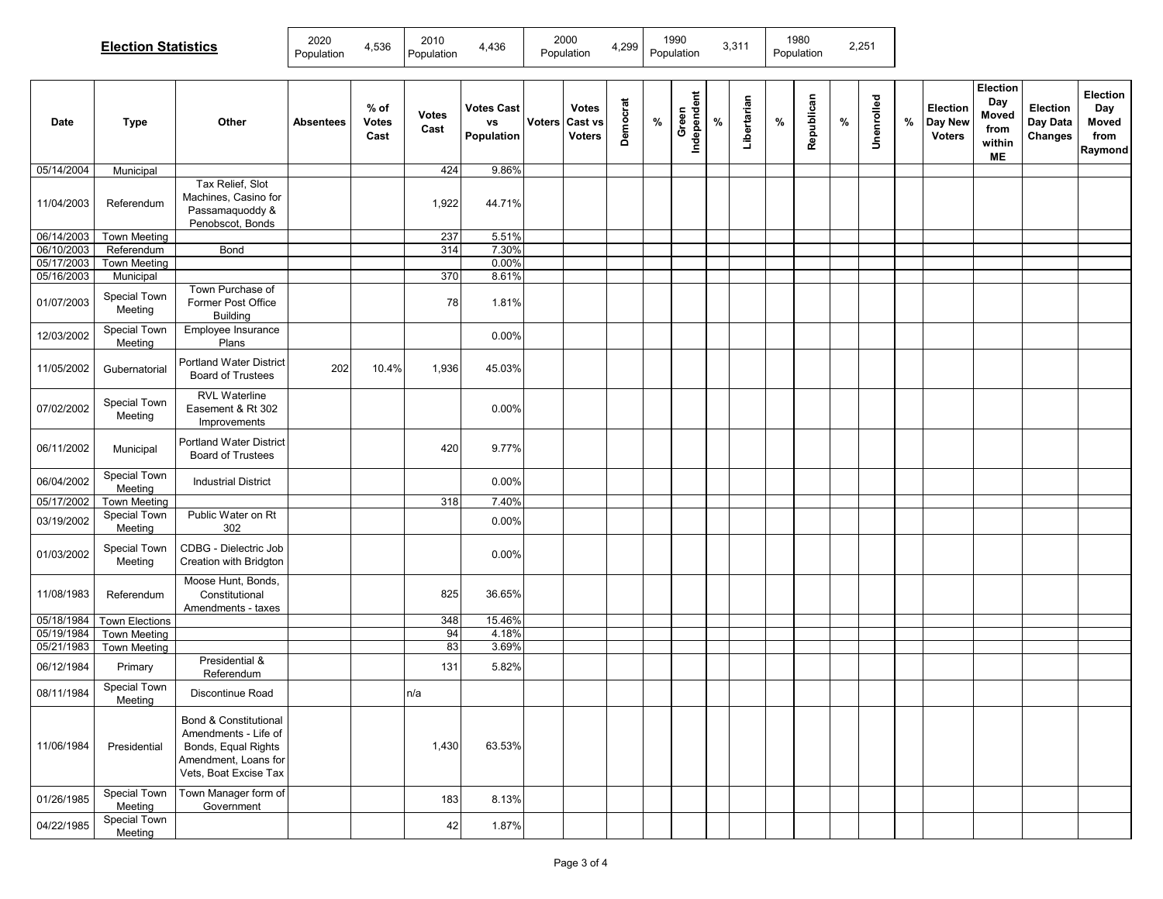|            | <b>Election Statistics</b> |                                                                                                                                  |                  | 4,536                        | 2010<br>Population   | 4,436                                 | 2000<br>Population |                                          | 4,299    | 1990<br>Population |                      | 3,311 |             |      | 1980<br>Population |      | 2,251      |      |                                      |                                                  |                                 |                                             |
|------------|----------------------------|----------------------------------------------------------------------------------------------------------------------------------|------------------|------------------------------|----------------------|---------------------------------------|--------------------|------------------------------------------|----------|--------------------|----------------------|-------|-------------|------|--------------------|------|------------|------|--------------------------------------|--------------------------------------------------|---------------------------------|---------------------------------------------|
| Date       | <b>Type</b>                | Other                                                                                                                            | <b>Absentees</b> | % of<br><b>Votes</b><br>Cast | <b>Votes</b><br>Cast | <b>Votes Cast</b><br>vs<br>Population | Voters             | <b>Votes</b><br>Cast vs<br><b>Voters</b> | Democrat | %                  | Independent<br>Green | $\%$  | Libertarian | $\%$ | Republican         | $\%$ | Unenrolled | $\%$ | Election<br>Day New<br><b>Voters</b> | Election<br>Day<br>Moved<br>from<br>within<br>ME | Election<br>Day Data<br>Changes | Election<br>Day<br>Moved<br>from<br>Raymond |
| 05/14/2004 | Municipal                  |                                                                                                                                  |                  |                              | 424                  | 9.86%                                 |                    |                                          |          |                    |                      |       |             |      |                    |      |            |      |                                      |                                                  |                                 |                                             |
| 11/04/2003 | Referendum                 | Tax Relief, Slot<br>Machines, Casino for<br>Passamaquoddy &<br>Penobscot, Bonds                                                  |                  |                              | 1,922                | 44.71%                                |                    |                                          |          |                    |                      |       |             |      |                    |      |            |      |                                      |                                                  |                                 |                                             |
| 06/14/2003 | <b>Town Meeting</b>        |                                                                                                                                  |                  |                              | 237                  | 5.51%                                 |                    |                                          |          |                    |                      |       |             |      |                    |      |            |      |                                      |                                                  |                                 |                                             |
| 06/10/2003 | Referendum                 | Bond                                                                                                                             |                  |                              | 314                  | 7.30%                                 |                    |                                          |          |                    |                      |       |             |      |                    |      |            |      |                                      |                                                  |                                 |                                             |
| 05/17/2003 | <b>Town Meeting</b>        |                                                                                                                                  |                  |                              |                      | 0.00%                                 |                    |                                          |          |                    |                      |       |             |      |                    |      |            |      |                                      |                                                  |                                 |                                             |
| 05/16/2003 | Municipal                  |                                                                                                                                  |                  |                              | 370                  | 8.61%                                 |                    |                                          |          |                    |                      |       |             |      |                    |      |            |      |                                      |                                                  |                                 |                                             |
| 01/07/2003 | Special Town<br>Meeting    | Town Purchase of<br>Former Post Office<br>Building                                                                               |                  |                              | 78                   | 1.81%                                 |                    |                                          |          |                    |                      |       |             |      |                    |      |            |      |                                      |                                                  |                                 |                                             |
| 12/03/2002 | Special Town<br>Meeting    | Employee Insurance<br>Plans                                                                                                      |                  |                              |                      | 0.00%                                 |                    |                                          |          |                    |                      |       |             |      |                    |      |            |      |                                      |                                                  |                                 |                                             |
| 11/05/2002 | Gubernatorial              | <b>Portland Water District</b><br><b>Board of Trustees</b>                                                                       | 202              | 10.4%                        | 1,936                | 45.03%                                |                    |                                          |          |                    |                      |       |             |      |                    |      |            |      |                                      |                                                  |                                 |                                             |
| 07/02/2002 | Special Town<br>Meeting    | <b>RVL Waterline</b><br>Easement & Rt 302<br>Improvements                                                                        |                  |                              |                      | 0.00%                                 |                    |                                          |          |                    |                      |       |             |      |                    |      |            |      |                                      |                                                  |                                 |                                             |
| 06/11/2002 | Municipal                  | Portland Water District<br><b>Board of Trustees</b>                                                                              |                  |                              | 420                  | 9.77%                                 |                    |                                          |          |                    |                      |       |             |      |                    |      |            |      |                                      |                                                  |                                 |                                             |
| 06/04/2002 | Special Town<br>Meeting    | <b>Industrial District</b>                                                                                                       |                  |                              |                      | 0.00%                                 |                    |                                          |          |                    |                      |       |             |      |                    |      |            |      |                                      |                                                  |                                 |                                             |
| 05/17/2002 | <b>Town Meeting</b>        |                                                                                                                                  |                  |                              | 318                  | 7.40%                                 |                    |                                          |          |                    |                      |       |             |      |                    |      |            |      |                                      |                                                  |                                 |                                             |
| 03/19/2002 | Special Town<br>Meeting    | Public Water on Rt<br>302                                                                                                        |                  |                              |                      | 0.00%                                 |                    |                                          |          |                    |                      |       |             |      |                    |      |            |      |                                      |                                                  |                                 |                                             |
| 01/03/2002 | Special Town<br>Meeting    | CDBG - Dielectric Job<br>Creation with Bridgton                                                                                  |                  |                              |                      | 0.00%                                 |                    |                                          |          |                    |                      |       |             |      |                    |      |            |      |                                      |                                                  |                                 |                                             |
| 11/08/1983 | Referendum                 | Moose Hunt, Bonds,<br>Constitutional<br>Amendments - taxes                                                                       |                  |                              | 825                  | 36.65%                                |                    |                                          |          |                    |                      |       |             |      |                    |      |            |      |                                      |                                                  |                                 |                                             |
| 05/18/1984 | <b>Town Elections</b>      |                                                                                                                                  |                  |                              | 348                  | 15.46%                                |                    |                                          |          |                    |                      |       |             |      |                    |      |            |      |                                      |                                                  |                                 |                                             |
| 05/19/1984 | <b>Town Meeting</b>        |                                                                                                                                  |                  |                              | 94                   | 4.18%                                 |                    |                                          |          |                    |                      |       |             |      |                    |      |            |      |                                      |                                                  |                                 |                                             |
| 05/21/1983 | <b>Town Meeting</b>        | Presidential &                                                                                                                   |                  |                              | 83                   | 3.69%                                 |                    |                                          |          |                    |                      |       |             |      |                    |      |            |      |                                      |                                                  |                                 |                                             |
| 06/12/1984 | Primary                    | Referendum                                                                                                                       |                  |                              | 131                  | 5.82%                                 |                    |                                          |          |                    |                      |       |             |      |                    |      |            |      |                                      |                                                  |                                 |                                             |
| 08/11/1984 | Special Town<br>Meeting    | Discontinue Road                                                                                                                 |                  |                              | n/a                  |                                       |                    |                                          |          |                    |                      |       |             |      |                    |      |            |      |                                      |                                                  |                                 |                                             |
| 11/06/1984 | Presidential               | <b>Bond &amp; Constitutional</b><br>Amendments - Life of<br>Bonds, Equal Rights<br>Amendment, Loans for<br>Vets, Boat Excise Tax |                  |                              | 1,430                | 63.53%                                |                    |                                          |          |                    |                      |       |             |      |                    |      |            |      |                                      |                                                  |                                 |                                             |
| 01/26/1985 | Special Town<br>Meeting    | Town Manager form of<br>Government                                                                                               |                  |                              | 183                  | 8.13%                                 |                    |                                          |          |                    |                      |       |             |      |                    |      |            |      |                                      |                                                  |                                 |                                             |
| 04/22/1985 | Special Town<br>Meeting    |                                                                                                                                  |                  |                              | 42                   | 1.87%                                 |                    |                                          |          |                    |                      |       |             |      |                    |      |            |      |                                      |                                                  |                                 |                                             |